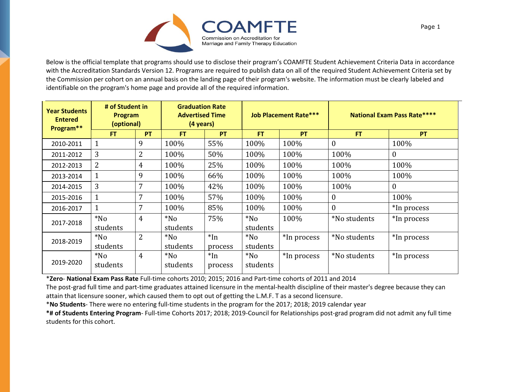

Below is the official template that programs should use to disclose their program's COAMFTE Student Achievement Criteria Data in accordance with the Accreditation Standards Version 12. Programs are required to publish data on all of the required Student Achievement Criteria set by the Commission per cohort on an annual basis on the landing page of their program's website. The information must be clearly labeled and identifiable on the program's home page and provide all of the required information.

| <b>Year Students</b><br><b>Entered</b><br>Program** | # of Student in<br><b>Program</b><br>(optional) |                | <b>Graduation Rate</b><br><b>Advertised Time</b><br>(4 years) |                  | <b>Job Placement Rate***</b> |             | <b>National Exam Pass Rate****</b> |              |
|-----------------------------------------------------|-------------------------------------------------|----------------|---------------------------------------------------------------|------------------|------------------------------|-------------|------------------------------------|--------------|
|                                                     | <b>FT</b>                                       | PT             | <b>FT</b>                                                     | <b>PT</b>        | <b>FT</b>                    | <b>PT</b>   | <b>FT</b>                          | <b>PT</b>    |
| 2010-2011                                           |                                                 | 9              | 100%                                                          | 55%              | 100%                         | 100%        | $\overline{0}$                     | 100%         |
| 2011-2012                                           | 3                                               | 2              | 100%                                                          | 50%              | 100%                         | 100%        | 100%                               | $\mathbf{0}$ |
| 2012-2013                                           | 2                                               | $\overline{4}$ | 100%                                                          | 25%              | 100%                         | 100%        | 100%                               | 100%         |
| 2013-2014                                           |                                                 | 9              | 100%                                                          | 66%              | 100%                         | 100%        | 100%                               | 100%         |
| 2014-2015                                           | 3                                               | 7              | 100%                                                          | 42%              | 100%                         | 100%        | 100%                               | $\theta$     |
| 2015-2016                                           | 1                                               | 7              | 100%                                                          | 57%              | 100%                         | 100%        | $\mathbf{0}$                       | 100%         |
| 2016-2017                                           |                                                 | 7              | 100%                                                          | 85%              | 100%                         | 100%        | $\overline{0}$                     | *In process  |
| 2017-2018                                           | $*$ No<br>students                              | $\overline{4}$ | $*$ No<br>students                                            | 75%              | $*$ No<br>students           | 100%        | *No students                       | *In process  |
| 2018-2019                                           | $*$ No<br>students                              | $\overline{2}$ | $*$ No<br>students                                            | $*In$<br>process | $*$ No<br>students           | *In process | *No students                       | *In process  |
| 2019-2020                                           | $*$ No<br>students                              | $\overline{4}$ | $*$ No<br>students                                            | $*In$<br>process | $*$ No<br>students           | *In process | *No students                       | *In process  |

\***Zero**- **National Exam Pass Rate** Full-time cohorts 2010; 2015; 2016 and Part-time cohorts of 2011 and 2014

The post-grad full time and part-time graduates attained licensure in the mental-health discipline of their master's degree because they can attain that licensure sooner, which caused them to opt out of getting the L.M.F. T as a second licensure.

\***No Students**- There were no entering full-time students in the program for the 2017; 2018; 2019 calendar year

**\*# of Students Entering Program**- Full-time Cohorts 2017; 2018; 2019-Council for Relationships post-grad program did not admit any full time students for this cohort.